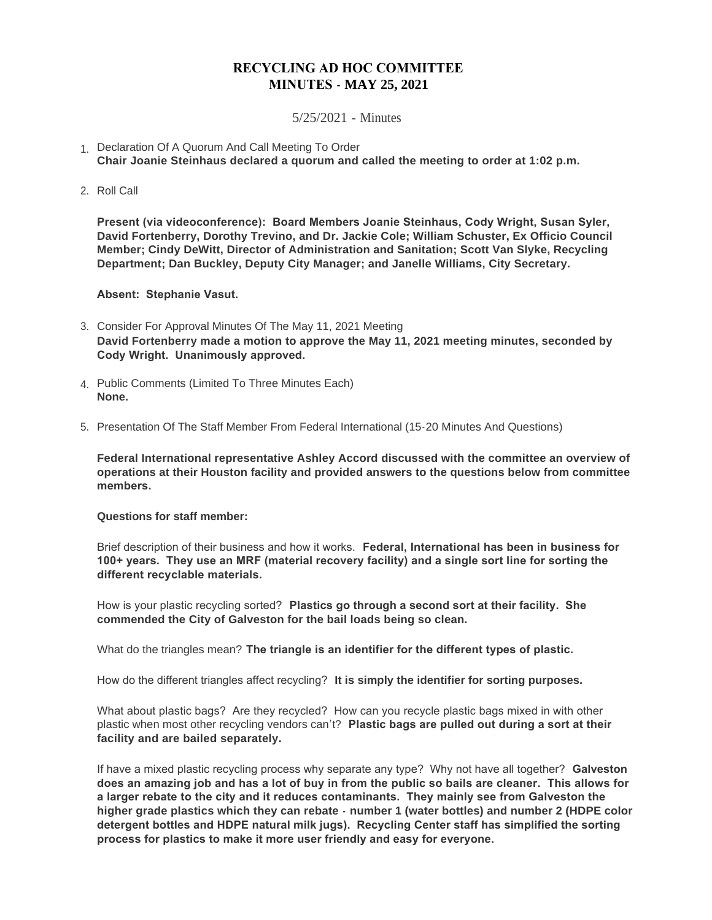## **RECYCLING AD HOC COMMITTEE MINUTES - MAY 25, 2021**

## 5/25/2021 - Minutes

- 1. Declaration Of A Quorum And Call Meeting To Order **Chair Joanie Steinhaus declared a quorum and called the meeting to order at 1:02 p.m.**
- 2. Roll Call

**Present (via videoconference): Board Members Joanie Steinhaus, Cody Wright, Susan Syler, David Fortenberry, Dorothy Trevino, and Dr. Jackie Cole; William Schuster, Ex Officio Council Member; Cindy DeWitt, Director of Administration and Sanitation; Scott Van Slyke, Recycling Department; Dan Buckley, Deputy City Manager; and Janelle Williams, City Secretary.**

**Absent: Stephanie Vasut.**

- Consider For Approval Minutes Of The May 11, 2021 Meeting 3. **David Fortenberry made a motion to approve the May 11, 2021 meeting minutes, seconded by Cody Wright. Unanimously approved.**
- Public Comments (Limited To Three Minutes Each) 4. **None.**
- 5. Presentation Of The Staff Member From Federal International (15-20 Minutes And Questions)

**Federal International representative Ashley Accord discussed with the committee an overview of operations at their Houston facility and provided answers to the questions below from committee members.** 

## **Questions for staff member:**

Brief description of their business and how it works. **Federal, International has been in business for 100+ years. They use an MRF (material recovery facility) and a single sort line for sorting the different recyclable materials.** 

How is your plastic recycling sorted? **Plastics go through a second sort at their facility. She commended the City of Galveston for the bail loads being so clean.**

What do the triangles mean? **The triangle is an identifier for the different types of plastic.** 

How do the different triangles affect recycling? **It is simply the identifier for sorting purposes.**

What about plastic bags? Are they recycled? How can you recycle plastic bags mixed in with other plastic when most other recycling vendors can't? **Plastic bags are pulled out during a sort at their facility and are bailed separately.**

If have a mixed plastic recycling process why separate any type? Why not have all together? **Galveston does an amazing job and has a lot of buy in from the public so bails are cleaner. This allows for a larger rebate to the city and it reduces contaminants. They mainly see from Galveston the higher grade plastics which they can rebate - number 1 (water bottles) and number 2 (HDPE color detergent bottles and HDPE natural milk jugs). Recycling Center staff has simplified the sorting process for plastics to make it more user friendly and easy for everyone.**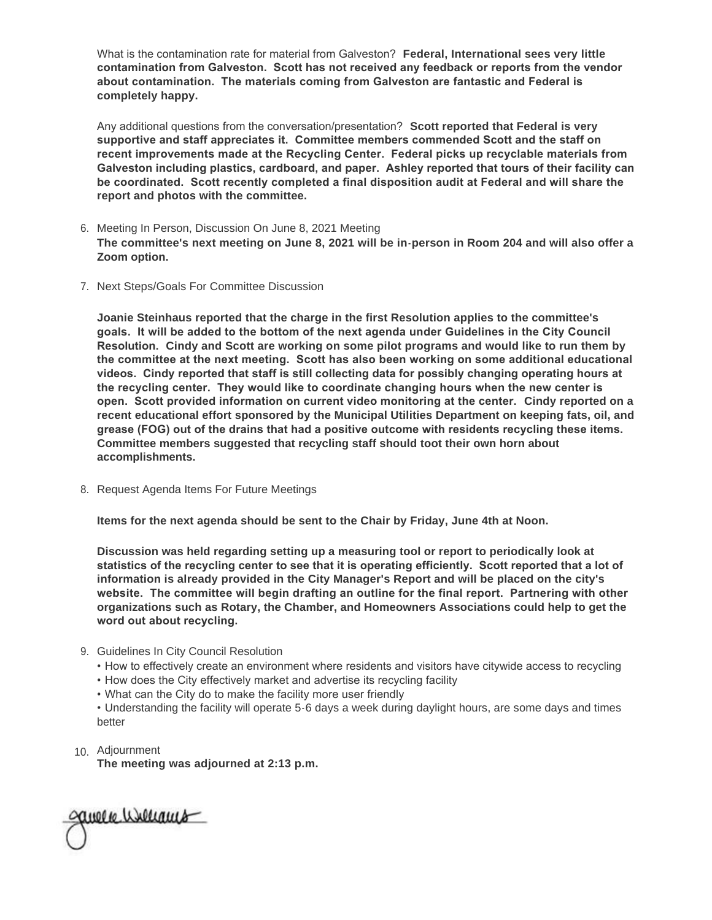What is the contamination rate for material from Galveston? **Federal, International sees very little contamination from Galveston. Scott has not received any feedback or reports from the vendor about contamination. The materials coming from Galveston are fantastic and Federal is completely happy.**

Any additional questions from the conversation/presentation? **Scott reported that Federal is very supportive and staff appreciates it. Committee members commended Scott and the staff on recent improvements made at the Recycling Center. Federal picks up recyclable materials from Galveston including plastics, cardboard, and paper. Ashley reported that tours of their facility can be coordinated. Scott recently completed a final disposition audit at Federal and will share the report and photos with the committee.**

- 6. Meeting In Person, Discussion On June 8, 2021 Meeting **The committee's next meeting on June 8, 2021 will be in-person in Room 204 and will also offer a Zoom option.**
- 7. Next Steps/Goals For Committee Discussion

**Joanie Steinhaus reported that the charge in the first Resolution applies to the committee's goals. It will be added to the bottom of the next agenda under Guidelines in the City Council Resolution. Cindy and Scott are working on some pilot programs and would like to run them by the committee at the next meeting. Scott has also been working on some additional educational videos. Cindy reported that staff is still collecting data for possibly changing operating hours at the recycling center. They would like to coordinate changing hours when the new center is open. Scott provided information on current video monitoring at the center. Cindy reported on a recent educational effort sponsored by the Municipal Utilities Department on keeping fats, oil, and grease (FOG) out of the drains that had a positive outcome with residents recycling these items. Committee members suggested that recycling staff should toot their own horn about accomplishments.**

8. Request Agenda Items For Future Meetings

**Items for the next agenda should be sent to the Chair by Friday, June 4th at Noon.**

**Discussion was held regarding setting up a measuring tool or report to periodically look at statistics of the recycling center to see that it is operating efficiently. Scott reported that a lot of information is already provided in the City Manager's Report and will be placed on the city's website. The committee will begin drafting an outline for the final report. Partnering with other organizations such as Rotary, the Chamber, and Homeowners Associations could help to get the word out about recycling.** 

## 9. Guidelines In City Council Resolution

- How to effectively create an environment where residents and visitors have citywide access to recycling
- How does the City effectively market and advertise its recycling facility
- What can the City do to make the facility more user friendly

• Understanding the facility will operate 5-6 days a week during daylight hours, are some days and times better

10. Adjournment

**The meeting was adjourned at 2:13 p.m.**

avere userants